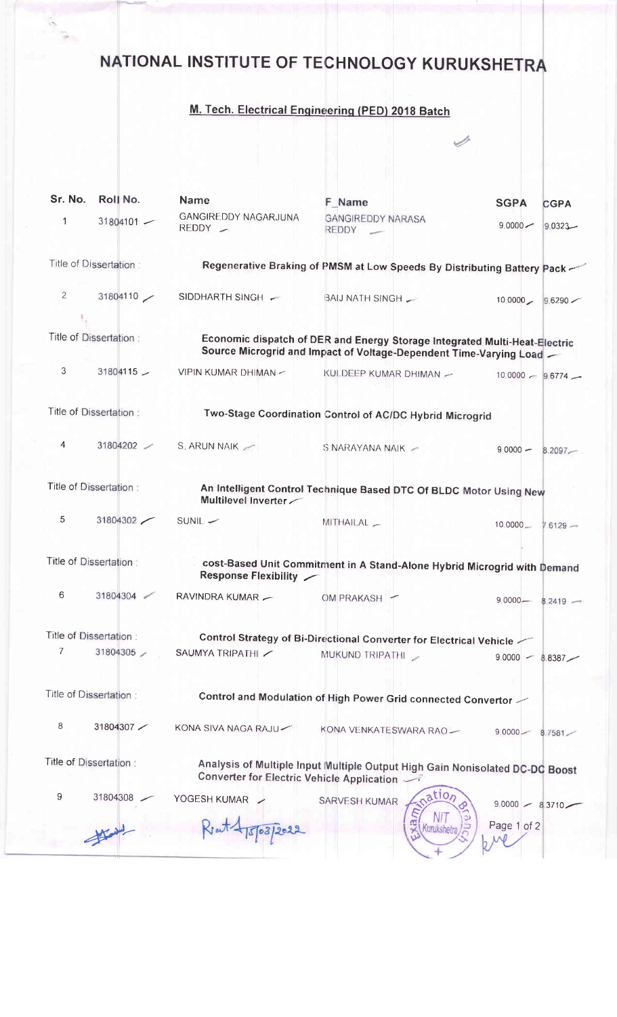## NATIONAL INSTITUTE OF TECHNOLOGY KURUKSHETRA

## M. Tech. Electrical Engineering (PED) 2018 Batch

 $\overline{\mathscr{S}}$ 

| Sr. No.                                                                                       | Roll No.     | <b>Name</b>                                                                                                                                      | F Name                            | <b>SGPA</b>       | <b>CGPA</b>          |  |
|-----------------------------------------------------------------------------------------------|--------------|--------------------------------------------------------------------------------------------------------------------------------------------------|-----------------------------------|-------------------|----------------------|--|
| $\mathbf{1}$                                                                                  | $31804101 -$ | GANGIREDDY NAGARJUNA<br>$REDDY -$                                                                                                                | <b>GANGIREDDY NARASA</b><br>REDDY | $9,0000 -$        | $9.0323 -$           |  |
| Title of Dissertation:                                                                        |              | Regenerative Braking of PMSM at Low Speeds By Distributing Battery Pack -                                                                        |                                   |                   |                      |  |
| $\overline{2}$                                                                                | 31804110     | SIDDHARTH SINGH ~                                                                                                                                | BAIJ NATH SINGH                   |                   | 10.0000 9.6290       |  |
| Title of Dissertation:                                                                        |              | Economic dispatch of DER and Energy Storage Integrated Multi-Heat-Electric<br>Source Microgrid and Impact of Voltage-Dependent Time-Varying Load |                                   |                   |                      |  |
| 3                                                                                             | $31804115 -$ | VIPIN KUMAR DHIMAN -                                                                                                                             | KULDEEP KUMAR DHIMAN -            |                   | $10.0000 - 9.6774$ – |  |
| Title of Dissertation:                                                                        |              | Two-Stage Coordination Control of AC/DC Hybrid Microgrid                                                                                         |                                   |                   |                      |  |
| 4                                                                                             | 31804202     | S. ARUN NAIK                                                                                                                                     | S NARAYANA NAIK -                 | $9,0000 -$        | $8.2097 -$           |  |
| Title of Dissertation:                                                                        |              | An Intelligent Control Technique Based DTC Of BLDC Motor Using New<br>Multilevel Inverter                                                        |                                   |                   |                      |  |
| 5                                                                                             | 31804302     | $SUNIL$ $-$                                                                                                                                      | MITHAILAL _                       | $10.0000 -$       | $7.6129 -$           |  |
| Title of Dissertation:                                                                        |              | cost-Based Unit Commitment in A Stand-Alone Hybrid Microgrid with Demand<br>Response Flexibility /                                               |                                   |                   |                      |  |
| 6                                                                                             | 31804304     | RAVINDRA KUMAR -                                                                                                                                 | OM PRAKASH -                      |                   | $9.0000 - 8.2419 -$  |  |
| Title of Dissertation:<br>Control Strategy of Bi-Directional Converter for Electrical Vehicle |              |                                                                                                                                                  |                                   |                   |                      |  |
| 7                                                                                             | 31804305     | SAUMYA TRIPATHI                                                                                                                                  | MUKUND TRIPATHI                   |                   | $9.0000 - 8.8387$    |  |
| Title of Dissertation:                                                                        |              | Control and Modulation of High Power Grid connected Convertor                                                                                    |                                   |                   |                      |  |
| 8                                                                                             | 31804307     | KONA SIVA NAGA RAJU                                                                                                                              | KONA VENKATESWARA RAO-            | $90000 -$         | 8.7581               |  |
| Title of Dissertation:                                                                        |              | Analysis of Multiple Input Multiple Output High Gain Nonisolated DC-DC Boost<br>Converter for Electric Vehicle Application                       |                                   |                   |                      |  |
| 9                                                                                             | 31804308     | YOGESH KUMAR                                                                                                                                     | ation<br>SARVESH KUMAR            | $9.0000 - 8.3710$ |                      |  |
|                                                                                               |              |                                                                                                                                                  | Kurukshetra                       | Page 1 of 2       |                      |  |